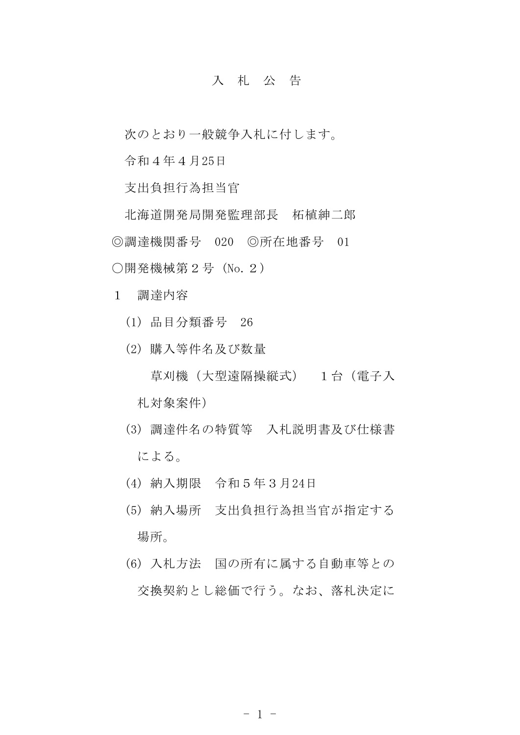## 入 札 公 告

次のとおり一般競争入札に付します。

令和4年4月25日

支出負担行為担当官

北海道開発局開発監理部長 柘植紳二郎 ◎調達機関番号 020 ◎所在地番号 01 〇開発機械第2号 (No.2)

1 調達内容

- (1) 品目分類番号 26
- (2) 購入等件名及び数量
	- 草刈機(大型遠隔操縦式) 1台(電子入 札対象案件)
- (3) 調達件名の特質等 入札説明書及び仕様書 による。
- (4) 納入期限 令和5年3月24日
- (5) 納入場所 支出負担行為担当官が指定する 場所。
- (6) 入札方法 国の所有に属する自動車等との 交換契約とし総価で行う。なお、落札決定に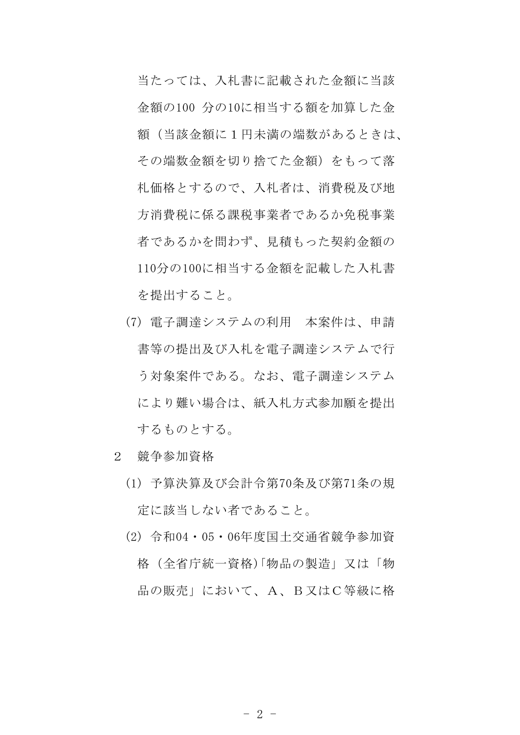当たっては、入札書に記載された金額に当該 金額の100 分の10に相当する額を加算した金 額(当該金額に1円未満の端数があるときは、 その端数金額を切り捨てた金額)をもって落 札価格とするので、入札者は、消費税及び地 方消費税に係る課税事業者であるか免税事業 者であるかを問わず、見積もった契約金額の 110分の100に相当する金額を記載した入札書 を提出すること。

- (7) 電子調達システムの利用 本案件は、申請 書等の提出及び入札を電子調達システムで行 う対象案件である。なお、電子調達システム により難い場合は、紙入札方式参加願を提出 するものとする。
- 2 競争参加資格
	- (1) 予算決算及び会計令第70条及び第71条の規 定に該当しない者であること。
	- (2) 令和04・05・06年度国土交通省競争参加資 格(全省庁統一資格)「物品の製造」又は「物 品の販売」において、A、B又はC等級に格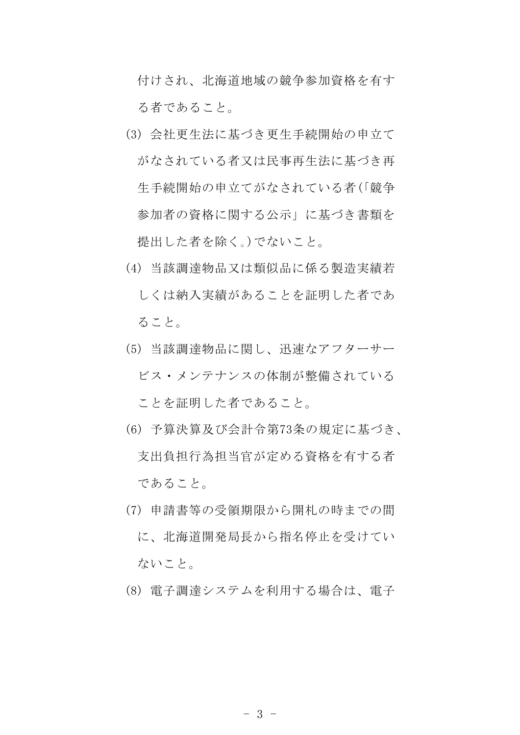付けされ、北海道地域の競争参加資格を有す る者であること。

- (3) 会社更生法に基づき更生手続開始の申立て がなされている者又は民事再生法に基づき再 生手続開始の申立てがなされている者(「競争 参加者の資格に関する公示」に基づき書類を 提出した者を除く。)でないこと。
- (4) 当該調達物品又は類似品に係る製造実績若 しくは納入実績があることを証明した者であ ること。
- (5) 当該調達物品に関し、迅速なアフターサー ビス・メンテナンスの体制が整備されている ことを証明した者であること。
- (6) 予算決算及び会計令第73条の規定に基づき、 支出負担行為担当官が定める資格を有する者 であること。
- (7) 申請書等の受領期限から開札の時までの間 に、北海道開発局長から指名停止を受けてい ないこと。
- (8) 電子調達システムを利用する場合は、電子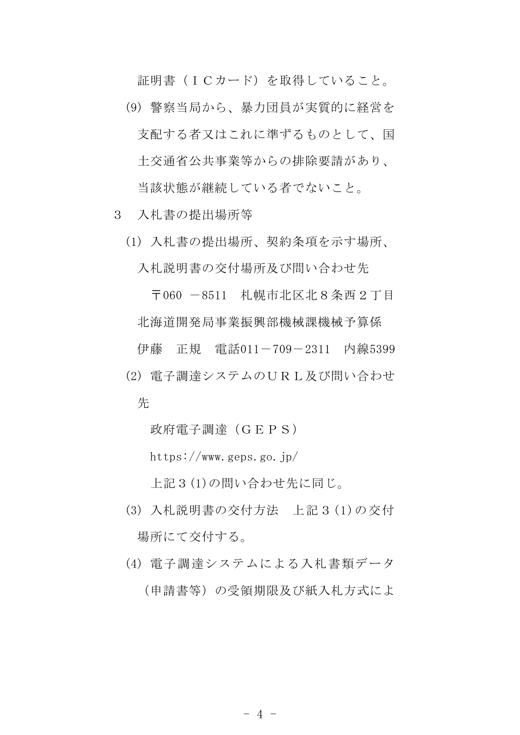証明書(ICカード)を取得していること。

- (9) 警察当局から、暴力団員が実質的に経営を 支配する者又はこれに準ずるものとして、国 土交通省公共事業等からの排除要請があり、 当該状態が継続している者でないこと。
- 3 入札書の提出場所等
	- (1) 入札書の提出場所、契約条項を示す場所、 入札説明書の交付場所及び問い合わせ先

〒060 -8511 札幌市北区北8条西2丁目 北海道開発局事業振興部機械課機械予算係

伊藤 正規 電話011-709-2311 内線5399

(2) 電子調達システムのURL及び問い合わせ 先

政府電子調達(GEPS)

https://www.geps.go.jp/

上記3(1)の問い合わせ先に同じ。

- (3) 入札説明書の交付方法 上記3(1)の交付 場所にて交付する。
- (4) 電子調達システムによる入札書類データ (申請書等)の受領期限及び紙入札方式によ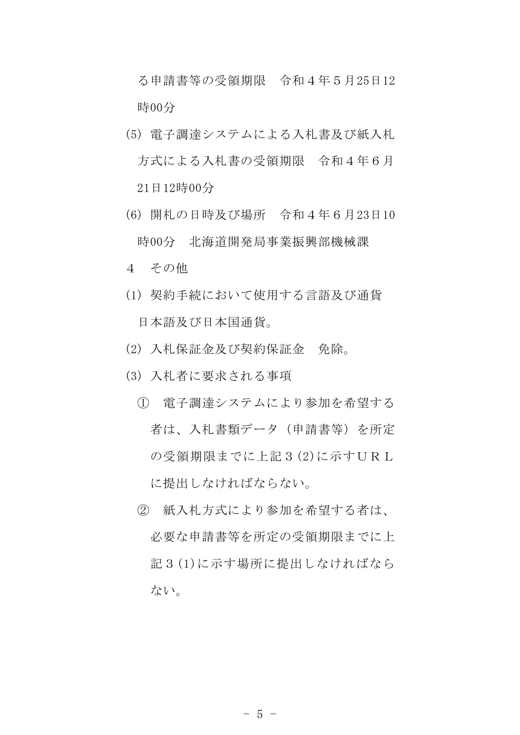る申請書等の受領期限 令和4年5月25日12 時00分

- (5) 電子調達システムによる入札書及び紙入札 方式による入札書の受領期限 令和4年6月 21日12時00分
- (6) 開札の日時及び場所 令和4年6月23日10 時00分 北海道開発局事業振興部機械課
- 4 その他
- (1) 契約手続において使用する言語及び通貨 日本語及び日本国通貨。
- (2) 入札保証金及び契約保証金 免除。
- (3) 入札者に要求される事項
	- ① 電子調達システムにより参加を希望する 者は、入札書類データ(申請書等)を所定 の受領期限までに上記3(2)に示すURL に提出しなければならない。
	- ② 紙入札方式により参加を希望する者は、 必要な申請書等を所定の受領期限までに上 記3(1)に示す場所に提出しなければなら ない。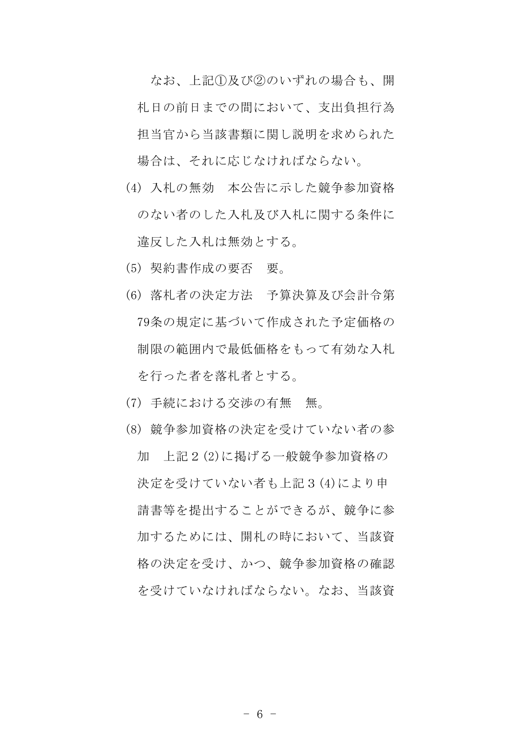なお、上記①及び②のいずれの場合も、開 札日の前日までの間において、支出負担行為 担当官から当該書類に関し説明を求められた 場合は、それに応じなければならない。

- (4) 入札の無効 本公告に示した競争参加資格 のない者のした入札及び入札に関する条件に 違反した入札は無効とする。
- (5) 契約書作成の要否 要。
- (6) 落札者の決定方法 予算決算及び会計令第 79条の規定に基づいて作成された予定価格の 制限の範囲内で最低価格をもって有効な入札 を行った者を落札者とする。
- (7) 手続における交渉の有無 無。
- (8) 競争参加資格の決定を受けていない者の参 加 上記2(2)に掲げる一般競争参加資格の 決定を受けていない者も上記3(4)により申 請書等を提出することができるが、競争に参 加するためには、開札の時において、当該資 格の決定を受け、かつ、競争参加資格の確認 を受けていなければならない。なお、当該資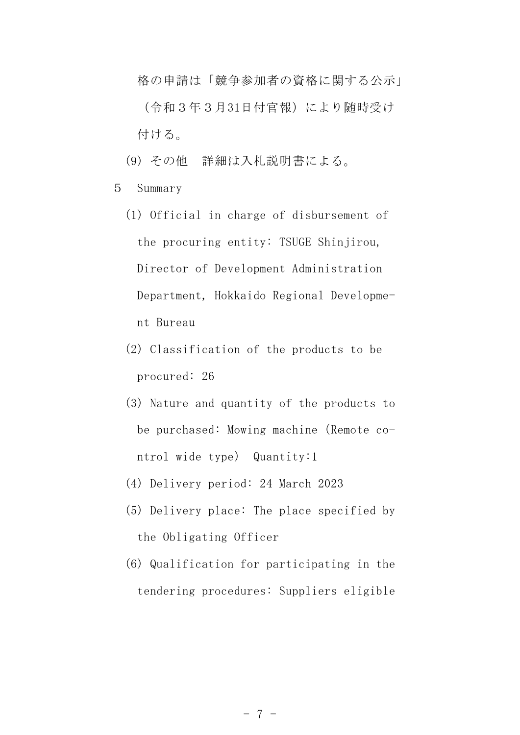格の申請は「競争参加者の資格に関する公示」 (令和3年3月31日付官報)により随時受け 付ける。

- (9) その他 詳細は入札説明書による。
- 5 Summary
	- (1) Official in charge of disbursement of the procuring entity: TSUGE Shinjirou, Director of Development Administration Department, Hokkaido Regional Development Bureau
	- (2) Classification of the products to be procured: 26
	- (3) Nature and quantity of the products to be purchased: Mowing machine (Remote control wide type) Quantity:1
	- (4) Delivery period: 24 March 2023
	- (5) Delivery place: The place specified by the Obligating Officer
	- (6) Qualification for participating in the tendering procedures: Suppliers eligible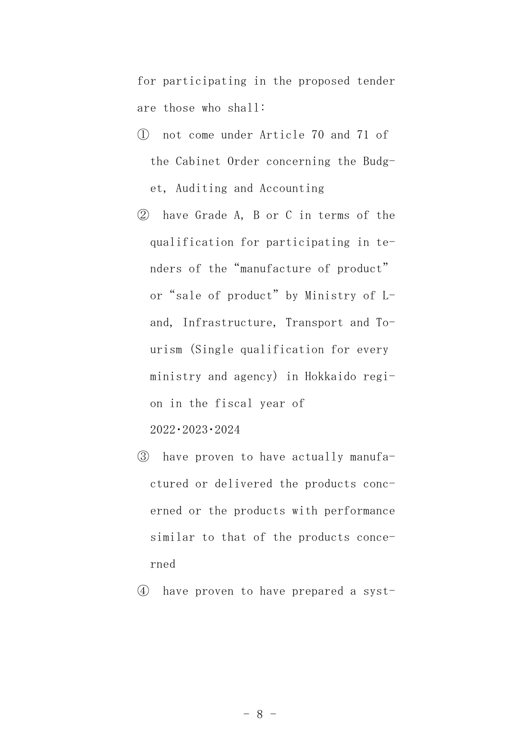for participating in the proposed tender are those who shall:

- ① not come under Article 70 and 71 of the Cabinet Order concerning the Budget, Auditing and Accounting
- ② have Grade A, B or C in terms of the qualification for participating in tenders of the"manufacture of product" or "sale of product" by Ministry of Land, Infrastructure, Transport and Tourism (Single qualification for every ministry and agency) in Hokkaido region in the fiscal year of 2022・2023・2024
- ③ have proven to have actually manufactured or delivered the products concerned or the products with performance similar to that of the products conce-

rned

④ have proven to have prepared a syst-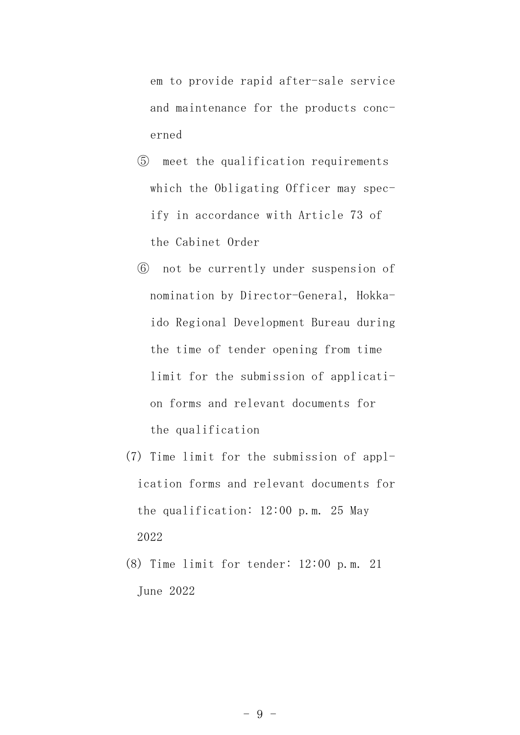em to provide rapid after-sale service and maintenance for the products concerned

- ⑤ meet the qualification requirements which the Obligating Officer may specify in accordance with Article 73 of the Cabinet Order
- ⑥ not be currently under suspension of nomination by Director-General, Hokkaido Regional Development Bureau during the time of tender opening from time limit for the submission of application forms and relevant documents for the qualification
- (7) Time limit for the submission of application forms and relevant documents for the qualification: 12:00 p.m. 25 May 2022
- (8) Time limit for tender: 12:00 p.m. 21 June 2022